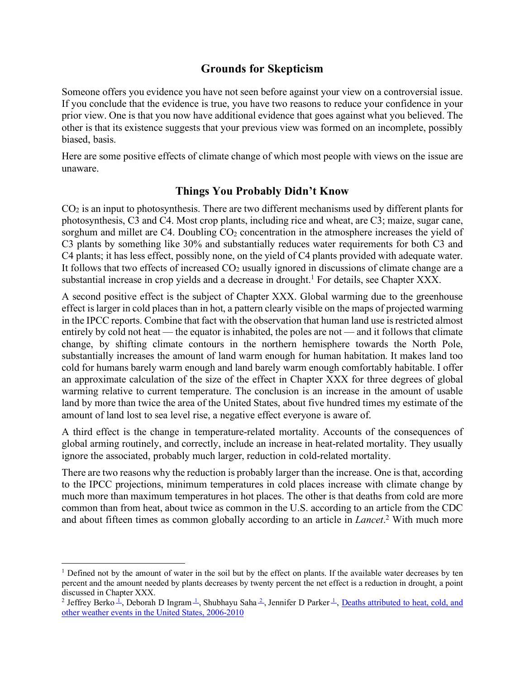# **Grounds for Skepticism**

Someone offers you evidence you have not seen before against your view on a controversial issue. If you conclude that the evidence is true, you have two reasons to reduce your confidence in your prior view. One is that you now have additional evidence that goes against what you believed. The other is that its existence suggests that your previous view was formed on an incomplete, possibly biased, basis.

Here are some positive effects of climate change of which most people with views on the issue are unaware.

## **Things You Probably Didn't Know**

 $CO<sub>2</sub>$  is an input to photosynthesis. There are two different mechanisms used by different plants for photosynthesis, C3 and C4. Most crop plants, including rice and wheat, are C3; maize, sugar cane, sorghum and millet are  $C4$ . Doubling  $CO<sub>2</sub>$  concentration in the atmosphere increases the yield of C3 plants by something like 30% and substantially reduces water requirements for both C3 and C4 plants; it has less effect, possibly none, on the yield of C4 plants provided with adequate water. It follows that two effects of increased  $CO<sub>2</sub>$  usually ignored in discussions of climate change are a substantial increase in crop yields and a decrease in drought.<sup>1</sup> For details, see Chapter XXX.

A second positive effect is the subject of Chapter XXX. Global warming due to the greenhouse effect is larger in cold places than in hot, a pattern clearly visible on the maps of projected warming in the IPCC reports. Combine that fact with the observation that human land use is restricted almost entirely by cold not heat — the equator is inhabited, the poles are not — and it follows that climate change, by shifting climate contours in the northern hemisphere towards the North Pole, substantially increases the amount of land warm enough for human habitation. It makes land too cold for humans barely warm enough and land barely warm enough comfortably habitable. I offer an approximate calculation of the size of the effect in Chapter XXX for three degrees of global warming relative to current temperature. The conclusion is an increase in the amount of usable land by more than twice the area of the United States, about five hundred times my estimate of the amount of land lost to sea level rise, a negative effect everyone is aware of.

A third effect is the change in temperature-related mortality. Accounts of the consequences of global arming routinely, and correctly, include an increase in heat-related mortality. They usually ignore the associated, probably much larger, reduction in cold-related mortality.

There are two reasons why the reduction is probably larger than the increase. One is that, according to the IPCC projections, minimum temperatures in cold places increase with climate change by much more than maximum temperatures in hot places. The other is that deaths from cold are more common than from heat, about twice as common in the U.S. according to an article from the CDC and about fifteen times as common globally according to an article in *Lancet*. <sup>2</sup> With much more

<sup>&</sup>lt;sup>1</sup> Defined not by the amount of water in the soil but by the effect on plants. If the available water decreases by ten percent and the amount needed by plants decreases by twenty percent the net effect is a reduction in drought, a point discussed in Chapter XXX.

<sup>&</sup>lt;sup>2</sup> Jeffrey Berko  $\hat{I}$ , Deborah D Ingram  $\hat{I}$ , Shubhayu Saha  $\hat{I}$ , Jennifer D Parker  $\hat{I}$ , Deaths attributed to heat, cold, and other weather events in the United States, 2006-2010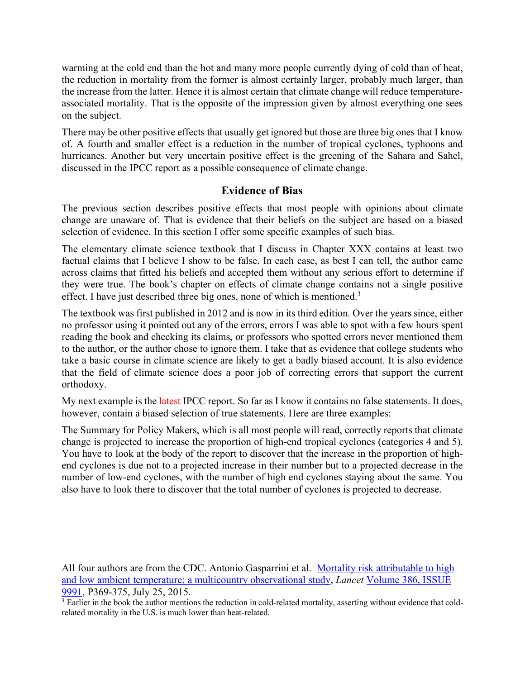warming at the cold end than the hot and many more people currently dying of cold than of heat, the reduction in mortality from the former is almost certainly larger, probably much larger, than the increase from the latter. Hence it is almost certain that climate change will reduce temperatureassociated mortality. That is the opposite of the impression given by almost everything one sees on the subject.

There may be other positive effects that usually get ignored but those are three big ones that I know of. A fourth and smaller effect is a reduction in the number of tropical cyclones, typhoons and hurricanes. Another but very uncertain positive effect is the greening of the Sahara and Sahel, discussed in the IPCC report as a possible consequence of climate change.

# **Evidence of Bias**

The previous section describes positive effects that most people with opinions about climate change are unaware of. That is evidence that their beliefs on the subject are based on a biased selection of evidence. In this section I offer some specific examples of such bias.

The elementary climate science textbook that I discuss in Chapter XXX contains at least two factual claims that I believe I show to be false. In each case, as best I can tell, the author came across claims that fitted his beliefs and accepted them without any serious effort to determine if they were true. The book's chapter on effects of climate change contains not a single positive effect. I have just described three big ones, none of which is mentioned.3

The textbook was first published in 2012 and is now in its third edition. Over the years since, either no professor using it pointed out any of the errors, errors I was able to spot with a few hours spent reading the book and checking its claims, or professors who spotted errors never mentioned them to the author, or the author chose to ignore them. I take that as evidence that college students who take a basic course in climate science are likely to get a badly biased account. It is also evidence that the field of climate science does a poor job of correcting errors that support the current orthodoxy.

My next example is the latest IPCC report. So far as I know it contains no false statements. It does, however, contain a biased selection of true statements. Here are three examples:

The Summary for Policy Makers, which is all most people will read, correctly reports that climate change is projected to increase the proportion of high-end tropical cyclones (categories 4 and 5). You have to look at the body of the report to discover that the increase in the proportion of highend cyclones is due not to a projected increase in their number but to a projected decrease in the number of low-end cyclones, with the number of high end cyclones staying about the same. You also have to look there to discover that the total number of cyclones is projected to decrease.

 $\overline{a}$ 

All four authors are from the CDC. Antonio Gasparrini et al. Mortality risk attributable to high and low ambient temperature: a multicountry observational study, *Lancet* Volume 386, ISSUE 9991, P369-375, July 25, 2015.

<sup>&</sup>lt;sup>3</sup> Earlier in the book the author mentions the reduction in cold-related mortality, asserting without evidence that coldrelated mortality in the U.S. is much lower than heat-related.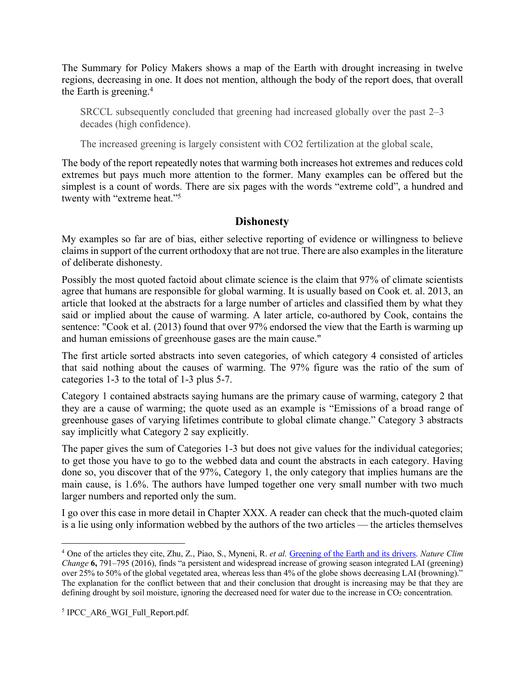The Summary for Policy Makers shows a map of the Earth with drought increasing in twelve regions, decreasing in one. It does not mention, although the body of the report does, that overall the Earth is greening.<sup>4</sup>

SRCCL subsequently concluded that greening had increased globally over the past 2–3 decades (high confidence).

The increased greening is largely consistent with CO2 fertilization at the global scale,

The body of the report repeatedly notes that warming both increases hot extremes and reduces cold extremes but pays much more attention to the former. Many examples can be offered but the simplest is a count of words. There are six pages with the words "extreme cold", a hundred and twenty with "extreme heat."5

## **Dishonesty**

My examples so far are of bias, either selective reporting of evidence or willingness to believe claims in support of the current orthodoxy that are not true. There are also examplesin the literature of deliberate dishonesty.

Possibly the most quoted factoid about climate science is the claim that 97% of climate scientists agree that humans are responsible for global warming. It is usually based on Cook et. al. 2013, an article that looked at the abstracts for a large number of articles and classified them by what they said or implied about the cause of warming. A later article, co-authored by Cook, contains the sentence: "Cook et al. (2013) found that over 97% endorsed the view that the Earth is warming up and human emissions of greenhouse gases are the main cause."

The first article sorted abstracts into seven categories, of which category 4 consisted of articles that said nothing about the causes of warming. The 97% figure was the ratio of the sum of categories 1-3 to the total of 1-3 plus 5-7.

Category 1 contained abstracts saying humans are the primary cause of warming, category 2 that they are a cause of warming; the quote used as an example is "Emissions of a broad range of greenhouse gases of varying lifetimes contribute to global climate change." Category 3 abstracts say implicitly what Category 2 say explicitly.

The paper gives the sum of Categories 1-3 but does not give values for the individual categories; to get those you have to go to the webbed data and count the abstracts in each category. Having done so, you discover that of the 97%, Category 1, the only category that implies humans are the main cause, is 1.6%. The authors have lumped together one very small number with two much larger numbers and reported only the sum.

I go over this case in more detail in Chapter XXX. A reader can check that the much-quoted claim is a lie using only information webbed by the authors of the two articles — the articles themselves

 <sup>4</sup> One of the articles they cite, Zhu, Z., Piao, S., Myneni, R. *et al.* Greening of the Earth and its drivers. *Nature Clim Change* **6,** 791–795 (2016), finds "a persistent and widespread increase of growing season integrated LAI (greening) over 25% to 50% of the global vegetated area, whereas less than 4% of the globe shows decreasing LAI (browning)." The explanation for the conflict between that and their conclusion that drought is increasing may be that they are defining drought by soil moisture, ignoring the decreased need for water due to the increase in CO<sub>2</sub> concentration.

<sup>&</sup>lt;sup>5</sup> IPCC AR6 WGI Full Report.pdf.